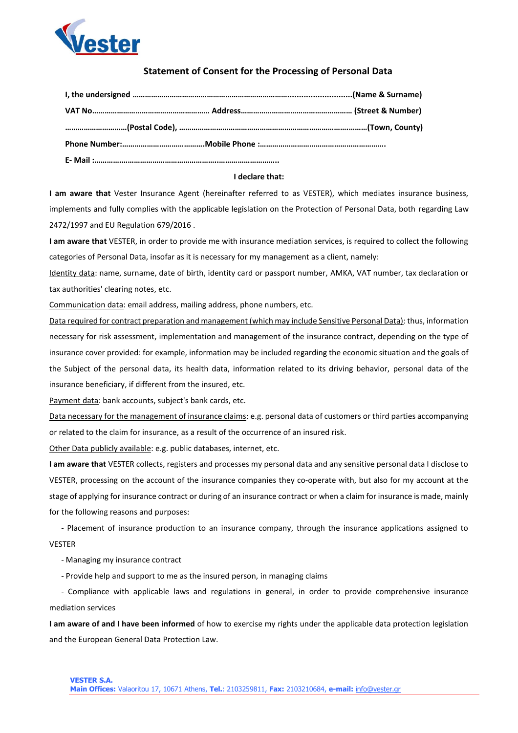

## **Statement of Consent for the Processing of Personal Data**

## **I declare that:**

**I am aware that** Vester Insurance Agent (hereinafter referred to as VESTER), which mediates insurance business, implements and fully complies with the applicable legislation on the Protection of Personal Data, both regarding Law 2472/1997 and EU Regulation 679/2016 .

**I am aware that** VESTER, in order to provide me with insurance mediation services, is required to collect the following categories of Personal Data, insofar as it is necessary for my management as a client, namely:

Identity data: name, surname, date of birth, identity card or passport number, AMKA, VAT number, tax declaration or tax authorities' clearing notes, etc.

Communication data: email address, mailing address, phone numbers, etc.

Data required for contract preparation and management (which may include Sensitive Personal Data): thus, information necessary for risk assessment, implementation and management of the insurance contract, depending on the type of insurance cover provided: for example, information may be included regarding the economic situation and the goals of the Subject of the personal data, its health data, information related to its driving behavior, personal data of the insurance beneficiary, if different from the insured, etc.

Payment data: bank accounts, subject's bank cards, etc.

Data necessary for the management of insurance claims: e.g. personal data of customers or third parties accompanying or related to the claim for insurance, as a result of the occurrence of an insured risk.

Other Data publicly available: e.g. public databases, internet, etc.

**I am aware that** VESTER collects, registers and processes my personal data and any sensitive personal data I disclose to VESTER, processing on the account of the insurance companies they co-operate with, but also for my account at the stage of applying for insurance contract or during of an insurance contract or when a claim for insurance is made, mainly for the following reasons and purposes:

 - Placement of insurance production to an insurance company, through the insurance applications assigned to VESTER

- Managing my insurance contract

- Provide help and support to me as the insured person, in managing claims

 - Compliance with applicable laws and regulations in general, in order to provide comprehensive insurance mediation services

**I am aware of and I have been informed** of how to exercise my rights under the applicable data protection legislation and the European General Data Protection Law.